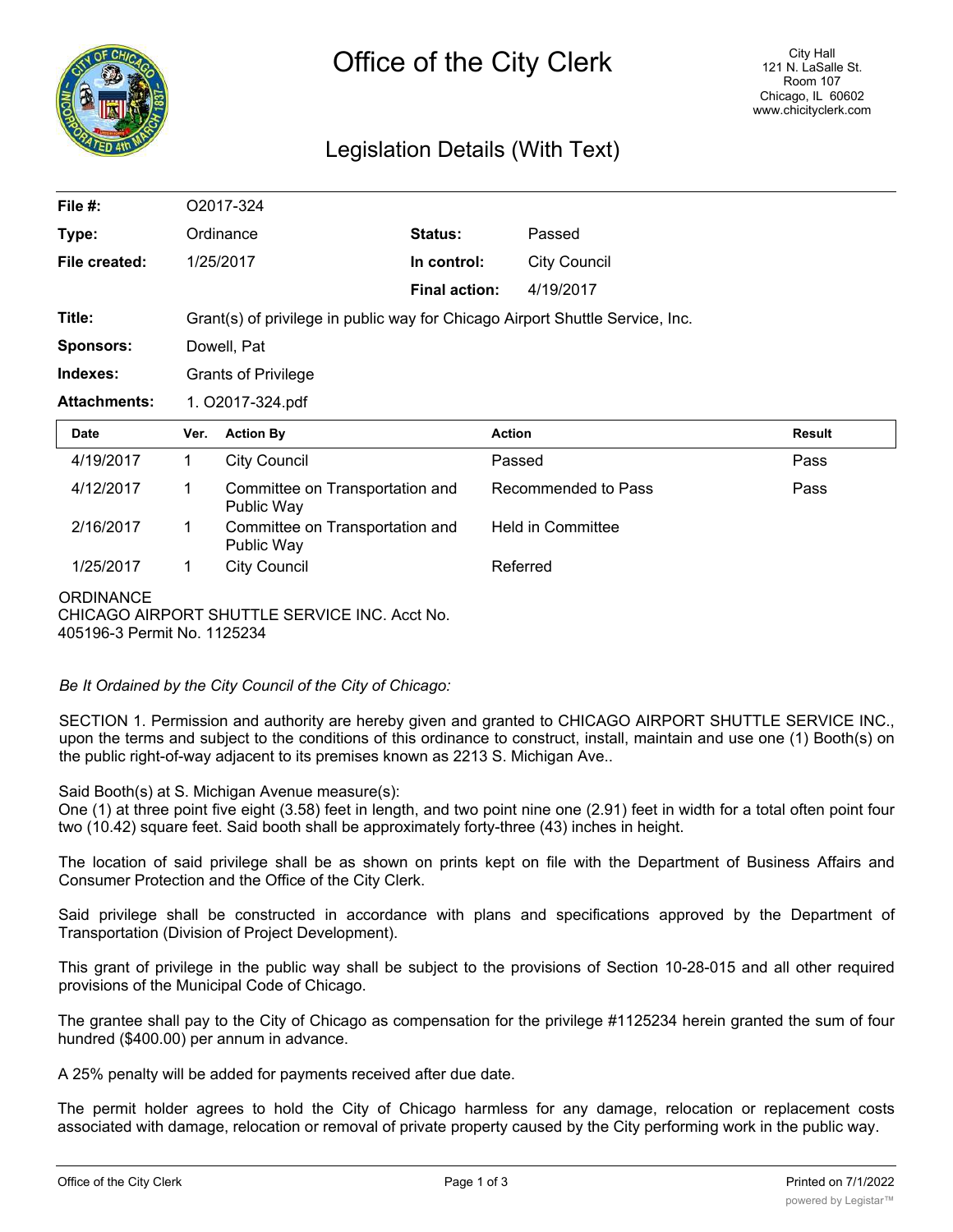

## Legislation Details (With Text)

| File $#$ :          | O2017-324                                                                     |                                               |                      |                          |               |
|---------------------|-------------------------------------------------------------------------------|-----------------------------------------------|----------------------|--------------------------|---------------|
| Type:               |                                                                               | Ordinance                                     | Status:              | Passed                   |               |
| File created:       |                                                                               | 1/25/2017                                     | In control:          | <b>City Council</b>      |               |
|                     |                                                                               |                                               | <b>Final action:</b> | 4/19/2017                |               |
| Title:              | Grant(s) of privilege in public way for Chicago Airport Shuttle Service, Inc. |                                               |                      |                          |               |
| <b>Sponsors:</b>    | Dowell, Pat                                                                   |                                               |                      |                          |               |
| Indexes:            | <b>Grants of Privilege</b>                                                    |                                               |                      |                          |               |
| <b>Attachments:</b> | 1. O2017-324.pdf                                                              |                                               |                      |                          |               |
| Date                | Ver.                                                                          | <b>Action By</b>                              |                      | <b>Action</b>            | <b>Result</b> |
| 4/19/2017           | $\mathbf{1}$                                                                  | <b>City Council</b>                           |                      | Passed                   | Pass          |
| 4/12/2017           | 1                                                                             | Committee on Transportation and<br>Public Way |                      | Recommended to Pass      | Pass          |
| 2/16/2017           | 1                                                                             | Committee on Transportation and<br>Public Way |                      | <b>Held in Committee</b> |               |
| 1/25/2017           | 1                                                                             | <b>City Council</b>                           |                      | Referred                 |               |
| <b>ORDINANCE</b>    |                                                                               |                                               |                      |                          |               |

CHICAGO AIRPORT SHUTTLE SERVICE INC. Acct No.

405196-3 Permit No. 1125234

*Be It Ordained by the City Council of the City of Chicago:*

SECTION 1. Permission and authority are hereby given and granted to CHICAGO AIRPORT SHUTTLE SERVICE INC., upon the terms and subject to the conditions of this ordinance to construct, install, maintain and use one (1) Booth(s) on the public right-of-way adjacent to its premises known as 2213 S. Michigan Ave..

Said Booth(s) at S. Michigan Avenue measure(s):

One (1) at three point five eight (3.58) feet in length, and two point nine one (2.91) feet in width for a total often point four two (10.42) square feet. Said booth shall be approximately forty-three (43) inches in height.

The location of said privilege shall be as shown on prints kept on file with the Department of Business Affairs and Consumer Protection and the Office of the City Clerk.

Said privilege shall be constructed in accordance with plans and specifications approved by the Department of Transportation (Division of Project Development).

This grant of privilege in the public way shall be subject to the provisions of Section 10-28-015 and all other required provisions of the Municipal Code of Chicago.

The grantee shall pay to the City of Chicago as compensation for the privilege #1125234 herein granted the sum of four hundred (\$400.00) per annum in advance.

A 25% penalty will be added for payments received after due date.

The permit holder agrees to hold the City of Chicago harmless for any damage, relocation or replacement costs associated with damage, relocation or removal of private property caused by the City performing work in the public way.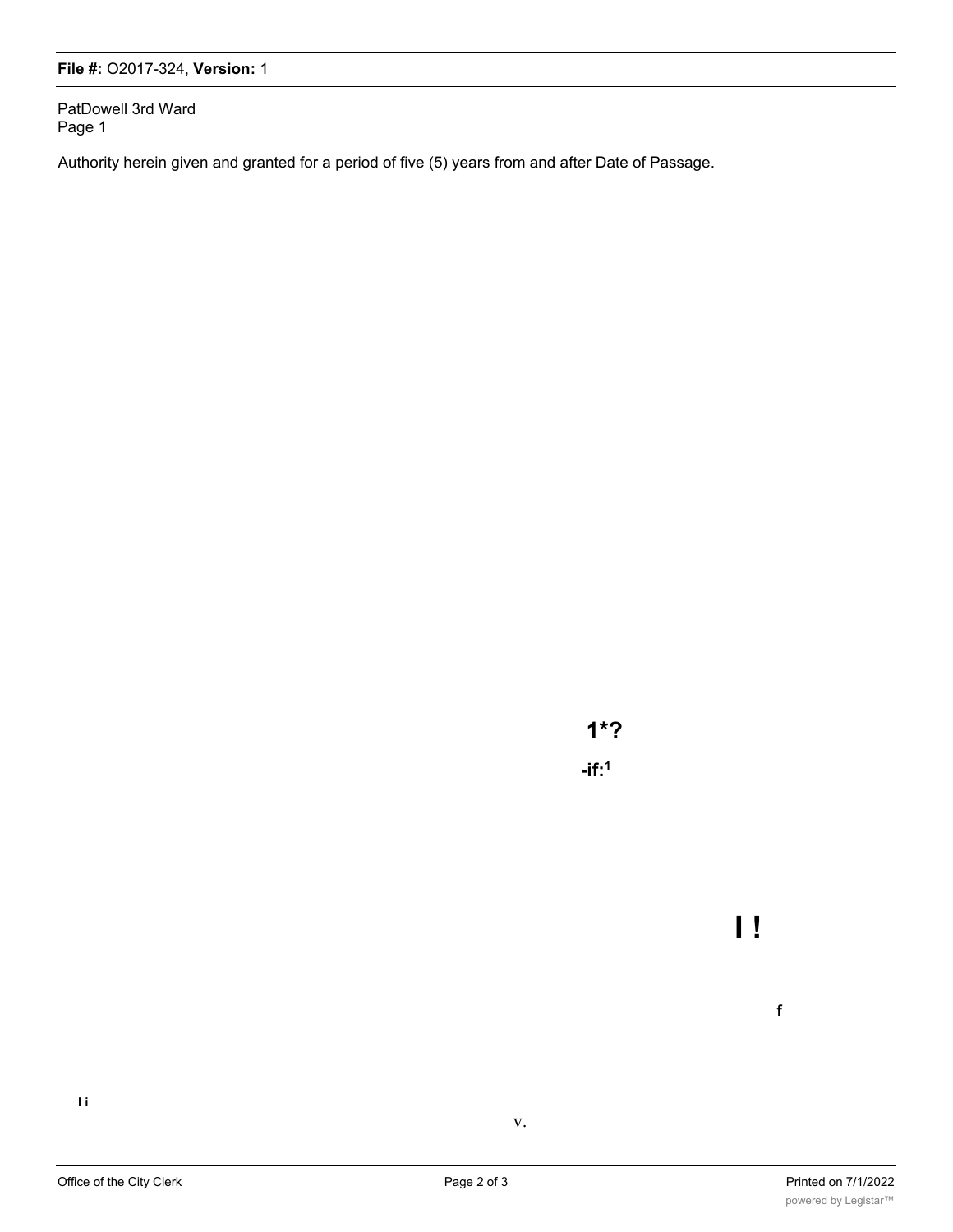## **File #:** O2017-324, **Version:** 1

PatDowell 3rd Ward Page 1

Authority herein given and granted for a period of five (5) years from and after Date of Passage.

**1\*? -if:1**

**I i**

v.

**I !**

**f**